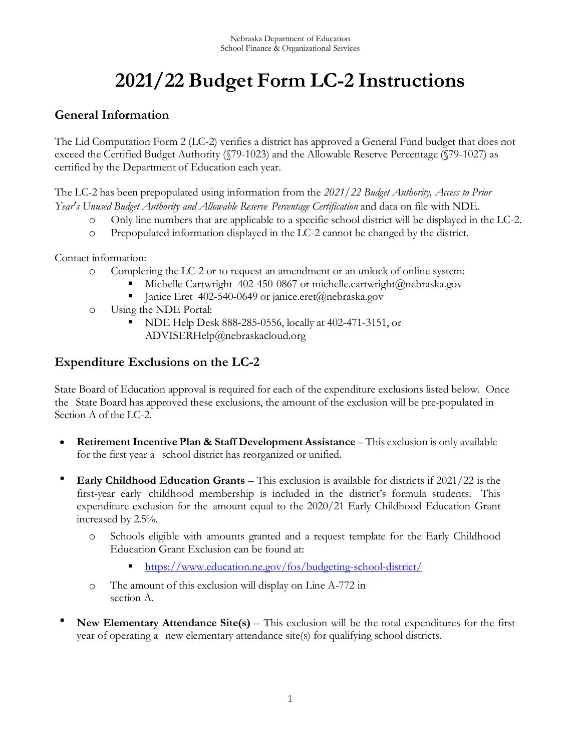# **2021/22 Budget Form LC-2 Instructions**

## **General Information**

The Lid Computation Form 2 (LC-2) verifies a district has approved a General Fund budget that does not exceed the Certified Budget Authority (§79-1023) and the Allowable Reserve Percentage (§79-1027) as certified by the Department of Education each year.

The LC-2 has been prepopulated using information from the *2021/22 Budget Authority, Access to Prior Year's Unused Budget Authority and Allowable Reserve Percentage Certification* and data on file with NDE.

- o Only line numbers that are applicable to a specific school district will be displayed in the LC-2.
- o Prepopulated information displayed in the LC-2 cannot be changed by the district.

#### Contact information:

- o Completing the LC-2 or to request an amendment or an unlock of online system:
	- Michelle Cartwright 402-450-0867 or michelle.cartwright@nebraska.gov
	- Janice Eret 402-540-0649 or [janice.eret@nebraska.gov](mailto:janice.eret@nebraska.gov)
- o Using the NDE Portal:
	- NDE Help Desk 888-285-0556, locally at 402-471-3151, or ADVISERHelp@nebraskacloud.org

## **Expenditure Exclusions on the LC-2**

State Board of Education approval is required for each of the expenditure exclusions listed below. Once the State Board has approved these exclusions, the amount of the exclusion will be [pre-populated](https://www.education.ne.gov/fos/budgeting-school-district/) in [Section A of the](https://www.education.ne.gov/fos/budgeting-school-district/) LC-2.

- **Retirement Incentive Plan & Staff Development Assistance** This exclusion is only available for the first year a school district has reorganized or unified.
- **Early Childhood Education Grants** *–* This exclusion is available for districts if 2021/22 is the first-year early childhood membership is included in the district's formula students. This expenditure exclusion for the amount equal to the 2020/21 Early Childhood Education Grant increased by 2.5%.
	- o Schools eligible with amounts granted and a request template for the Early Childhood Education Grant Exclusion can be found at:
		- <https://www.education.ne.gov/fos/budgeting-school-district/>
	- o The amount of this exclusion will display on Line A-772 in section A.
- **New Elementary Attendance Site(s)** This exclusion will be the total expenditures for the first year of operating a new elementary attendance site(s) for qualifying school districts.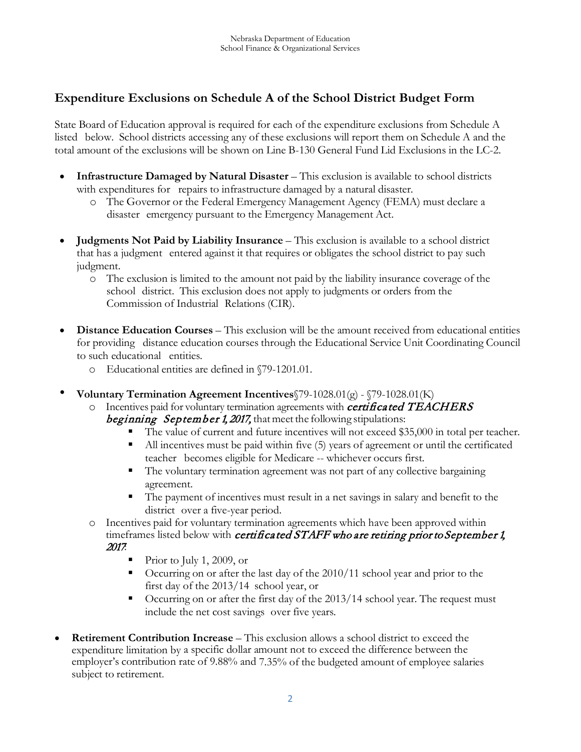# **Expenditure Exclusions on Schedule A of the School District Budget Form**

State Board of Education approval is required for each of the expenditure exclusions from Schedule A listed below. School districts accessing any of these exclusions will report them on Schedule A and the total amount of the exclusions will be shown on Line B-130 General Fund Lid Exclusions in the LC-2.

- **Infrastructure Damaged by Natural Disaster** *–* This exclusion is available to school districts with expenditures for repairs to infrastructure damaged by a natural disaster.
	- o The Governor or the Federal Emergency Management Agency (FEMA) must declare a disaster emergency pursuant to the Emergency Management Act.
- **Judgments Not Paid by Liability Insurance** This exclusion is available to a school district that has a judgment entered against it that requires or obligates the school district to pay such judgment.
	- o The exclusion is limited to the amount not paid by the liability insurance coverage of the school district. This exclusion does not apply to judgments or orders from the Commission of Industrial Relations (CIR).
- **Distance Education Courses** This exclusion will be the amount received from educational entities for providing distance education courses through the Educational Service Unit Coordinating Council to such educational entities.
	- o Educational entities are defined in §79-1201.01.
- **Voluntary Termination Agreement Incentives**§79-1028.01(g) §79-1028.01(K)
	- o Incentives paid for voluntary termination agreements with *certificated TEACHERS* 
		- beginning September 1, 2017, that meet the following stipulations:
			- The value of current and future incentives will not exceed \$35,000 in total per teacher.
			- All incentives must be paid within five (5) years of agreement or until the certificated teacher becomes eligible for Medicare -- whichever occurs first.
			- The voluntary termination agreement was not part of any collective bargaining agreement.
			- The payment of incentives must result in a net savings in salary and benefit to the district over a five-year period.
	- o Incentives paid for voluntary termination agreements which have been approved within timeframes listed below with certificated STAFF who are retiring prior to September 1, <sup>2017</sup>:
		- Prior to July 1, 2009, or
		- Occurring on or after the last day of the 2010/11 school year and prior to the first day of the 2013/14 school year, or
		- Occurring on or after the first day of the 2013/14 school year. The request must include the net cost savings over five years.
- **Retirement Contribution Increase** This exclusion allows a school district to exceed the expenditure limitation by a specific dollar amount not to exceed the difference between the employer's contribution rate of 9.88% and 7.35% of the budgeted amount of employee salaries subject to retirement.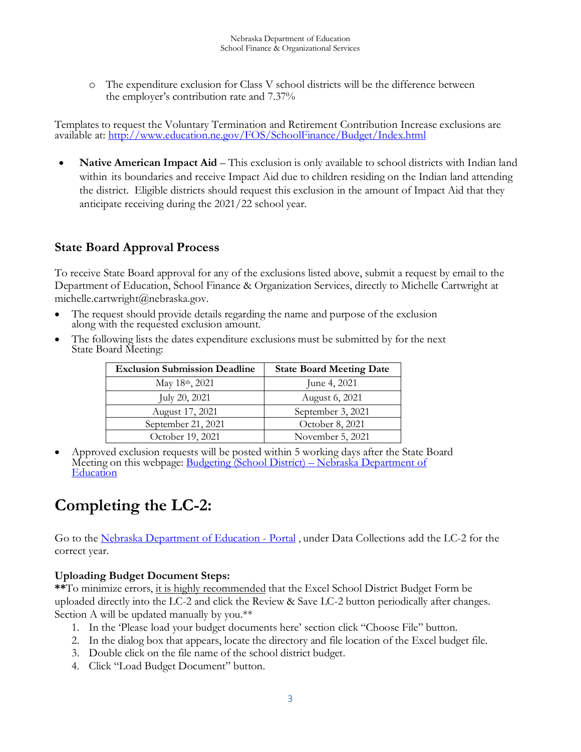o The expenditure exclusion for Class V school districts will be the difference between the employer's contribution rate and 7.37%

Templates to request the Voluntary Termination and Retirement Contribution Increase exclusions are available at: <http://www.education.ne.gov/FOS/SchoolFinance/Budget/Index.html>

• **Native American Impact Aid** *–* This exclusion is only available to school districts with Indian land within its boundaries and receive Impact Aid due to children residing on the Indian land attending the district. Eligible districts should request this exclusion in the amount of Impact Aid that they anticipate receiving during the 2021/22 school year.

#### **State Board Approval Process**

To receive State Board approval for any of the exclusions listed above, submit a request by email to the Department of Education, School Finance & Organization Services, directly to Michelle Cartwright a[t](mailto:%20%20Michelle.cartwright@nebraska.gov)  [michelle.cartwright@nebraska.gov.](mailto:%20%20Michelle.cartwright@nebraska.gov)

- The request should provide details regarding the name and purpose of the exclusion along with the requested exclusion amount.
- The following lists the dates expenditure exclusions must be submitted by for the next State Board Meeting:

| <b>Exclusion Submission Deadline</b> | <b>State Board Meeting Date</b> |
|--------------------------------------|---------------------------------|
| May 18th, 2021                       | June 4, 2021                    |
| July 20, 2021                        | August 6, 2021                  |
| August 17, 2021                      | September 3, 2021               |
| September 21, 2021                   | October 8, 2021                 |
| October 19, 2021                     | November 5, 2021                |

• Approved exclusion requests will be posted within 5 working days after the State Board Meeting on this webpage: Budgeting (School District) – [Nebraska Department of Education](https://www.education.ne.gov/fos/budgeting-school-district/)

# **Completing the LC-2:**

Go to the [Nebraska Department of Education -](https://portal.education.ne.gov/site/DesktopDefault.aspx) Portal , under Data Collections add the LC-2 for the correct year.

#### **Uploading Budget Document Steps:**

**\*\***To minimize errors, it is highly recommended that the Excel School District Budget Form be uploaded directly into the LC-2 and click the Review & Save LC-2 button periodically after changes. Section A will be updated manually by you.\*\*

- 1. In the 'Please load your budget documents here' section click "Choose File" button.
- 2. In the dialog box that appears, locate the directory and file location of the Excel budget file.
- 3. Double click on the file name of the school district budget.
- 4. Click "Load Budget Document" button.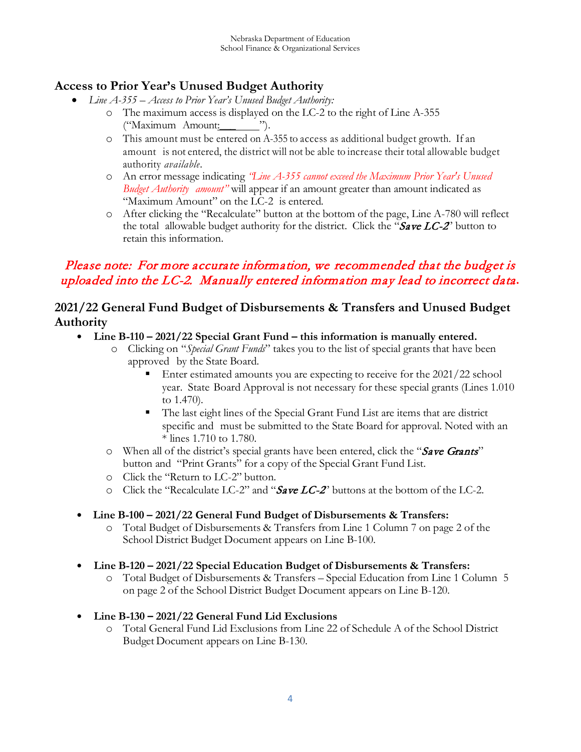## **Access to Prior Year's Unused Budget Authority**

- *Line A-355 – Access to Prior Year's Unused Budget Authority:*
	- o The maximum access is displayed on the LC-2 to the right of Line A-355 ("Maximum Amount:
	- o This amount must be entered on A-355 to access as additional budget growth. If an amount is not entered, the district will not be able to increase their total allowable budget authority *available.*
	- o An error message indicating *"Line A-355 cannot exceed the Maximum Prior Year's Unused Budget Authority amount"* will appear if an amount greater than amount indicated as "Maximum Amount" on the LC-2 is entered.
	- o After clicking the "Recalculate" button at the bottom of the page, Line A-780 will reflect the total allowable budget authority for the district. Click the " $Save LC-2$ " button to retain this information.

# Please note: For more accurate information, we recommended that the budget is uploaded into the LC-2. Manually entered information may lead to incorrect data**.**

#### **2021/22 General Fund Budget of Disbursements & Transfers and Unused Budget Authority**

- **Line B-110 – 2021/22 Special Grant Fund – this information is manually entered.** 
	- o Clicking on "*Special Grant Funds*" takes you to the list of special grants that have been approved by the State Board.
		- Enter estimated amounts you are expecting to receive for the 2021/22 school year. State Board Approval is not necessary for these special grants (Lines 1.010 to 1.470).
		- The last eight lines of the Special Grant Fund List are items that are district specific and must be submitted to the State Board for approval. Noted with an \* lines 1.710 to 1.780.
	- o When all of the district's special grants have been entered, click the " $Save$  Grants" button and "Print Grants" for a copy of the Special Grant Fund List.
	- o Click the "Return to LC-2" button.
	- $\circ$  Click the "Recalculate LC-2" and "Save LC-2" buttons at the bottom of the LC-2.

#### **Line B-100 – 2021/22 General Fund Budget of Disbursements & Transfers:**

- o Total Budget of Disbursements & Transfers from Line 1 Column 7 on page 2 of the School District Budget Document appears on Line B-100.
- **Line B-120 – 2021/22 Special Education Budget of Disbursements & Transfers:**
	- o Total Budget of Disbursements & Transfers Special Education from Line 1 Column 5 on page 2 of the School District Budget Document appears on Line B-120.
- **Line B-130 – 2021/22 General Fund Lid Exclusions**
	- o Total General Fund Lid Exclusions from Line 22 of Schedule A of the School District Budget Document appears on Line B-130.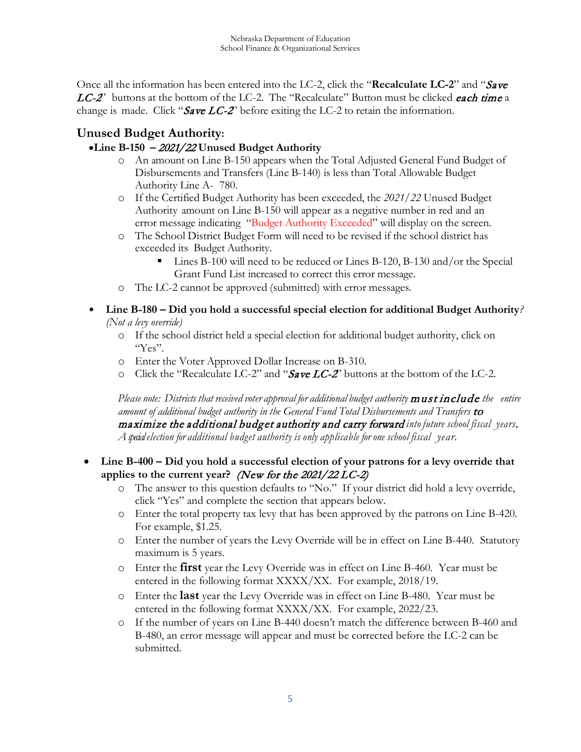Once all the information has been entered into the LC-2, click the "**Recalculate LC-2**" and "Save LC-2' buttons at the bottom of the LC-2. The "Recalculate" Button must be clicked each time a change is made. Click " $Save LC-2$ " before exiting the LC-2 to retain the information.

#### **Unused Budget Authority:**

#### •**Line B-150 –** 2021/22 **Unused Budget Authority**

- o An amount on Line B-150 appears when the Total Adjusted General Fund Budget of Disbursements and Transfers (Line B-140) is less than Total Allowable Budget Authority Line A- 780.
- o If the Certified Budget Authority has been exceeded, the *2021/22* Unused Budget Authority amount on Line B-150 will appear as a negative number in red and an error message indicating "Budget Authority Exceeded" will display on the screen.
- o The School District Budget Form will need to be revised if the school district has exceeded its Budget Authority.
	- Lines B-100 will need to be reduced or Lines B-120, B-130 and/or the Special Grant Fund List increased to correct this error message.
- o The LC-2 cannot be approved (submitted) with error messages.
- **Line B-180 – Did you hold a successful special election for additional Budget Authority***? (Not a levy override)*
	- o If the school district held a special election for additional budget authority, click on "Yes".
	- o Enter the Voter Approved Dollar Increase on B-310.
	- $\circ$  Click the "Recalculate LC-2" and "Save LC-2" buttons at the bottom of the LC-2.

*Please note: Districts that received voter approval for additional budget authority* must include *the entire amount of additional budget authority in the General Fund Total Disbursements and Transfers* to maximi ze the additional budg et authority and carry forward *into future school fiscal years*. *Aspecialelection for additional budget authority is only applicable for one school fiscal year.*

#### • **Line B-400 – Did you hold a successful election of your patrons for a levy override that applies to the current year?** (New for the 2021/22 LC-2)

- o The answer to this question defaults to "No." If your district did hold a levy override, click "Yes" and complete the section that appears below.
- o Enter the total property tax levy that has been approved by the patrons on Line B-420. For example, \$1.25.
- o Enter the number of years the Levy Override will be in effect on Line B-440. Statutory maximum is 5 years.
- o Enter the **first** year the Levy Override was in effect on Line B-460. Year must be entered in the following format XXXX/XX. For example, 2018/19.
- o Enter the **last** year the Levy Override was in effect on Line B-480. Year must be entered in the following format XXXX/XX. For example, 2022/23.
- o If the number of years on Line B-440 doesn't match the difference between B-460 and B-480, an error message will appear and must be corrected before the LC-2 can be submitted.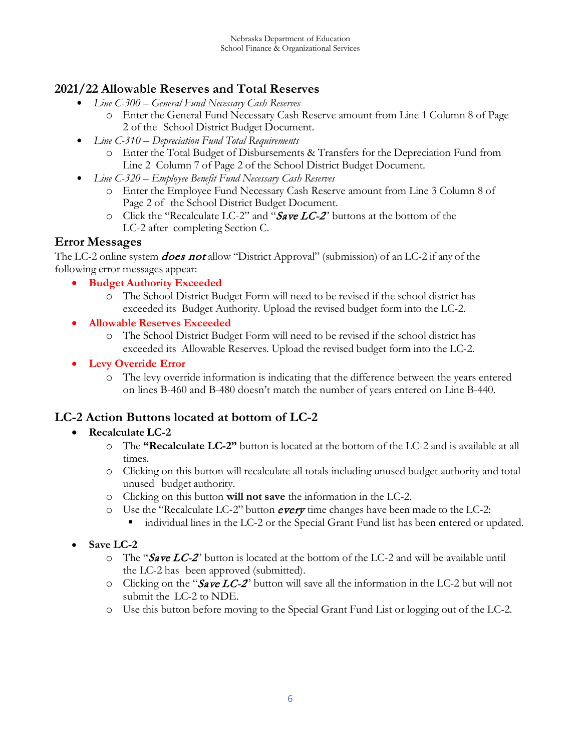## **2021/22 Allowable Reserves and Total Reserves**

- *Line C-300 – General Fund Necessary Cash Reserves*
	- o Enter the General Fund Necessary Cash Reserve amount from Line 1 Column 8 of Page 2 of the School District Budget Document.
- *Line C-310 – Depreciation Fund Total Requirements*
	- o Enter the Total Budget of Disbursements & Transfers for the Depreciation Fund from Line 2 Column 7 of Page 2 of the School District Budget Document.
- *Line C-320 – Employee Benefit Fund Necessary Cash Reserves*
	- o Enter the Employee Fund Necessary Cash Reserve amount from Line 3 Column 8 of Page 2 of the School District Budget Document.
	- $\circ$  Click the "Recalculate LC-2" and "Save LC-2" buttons at the bottom of the LC-2 after completing Section C.

#### **Error Messages**

The LC-2 online system **does not** allow "District Approval" (submission) of an LC-2 if any of the following error messages appear:

- **Budget Authority Exceeded**
	- o The School District Budget Form will need to be revised if the school district has exceeded its Budget Authority. Upload the revised budget form into the LC-2.
- **Allowable Reserves Exceeded**
	- o The School District Budget Form will need to be revised if the school district has exceeded its Allowable Reserves. Upload the revised budget form into the LC-2.
- **Levy Override Error**
	- o The levy override information is indicating that the difference between the years entered on lines B-460 and B-480 doesn't match the number of years entered on Line B-440.

#### **LC-2 Action Buttons located at bottom of LC-2**

#### • **Recalculate LC-2**

- o The **"Recalculate LC-2"** button is located at the bottom of the LC-2 and is available at all times.
- o Clicking on this button will recalculate all totals including unused budget authority and total unused budget authority.
- o Clicking on this button **will not save** the information in the LC-2.
- $\circ$  Use the "Recalculate LC-2" button *every* time changes have been made to the LC-2:
	- individual lines in the LC-2 or the Special Grant Fund list has been entered or updated.
- **Save LC-2**
	- $\circ$  The "Save LC-2" button is located at the bottom of the LC-2 and will be available until the LC-2 has been approved (submitted).
	- $\circ$  Clicking on the "Save LC-2" button will save all the information in the LC-2 but will not submit the LC-2 to NDE.
	- o Use this button before moving to the Special Grant Fund List or logging out of the LC-2.